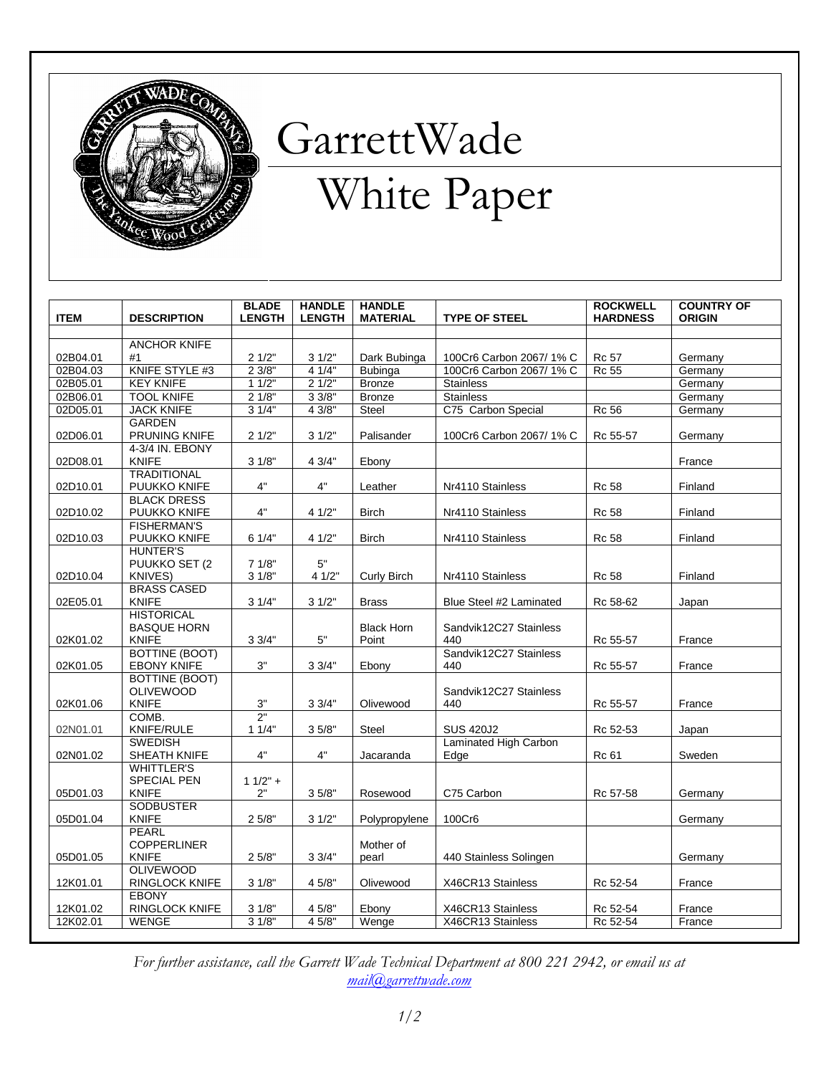

## GarrettWade

## White Paper

| <b>ITEM</b> | <b>DESCRIPTION</b>                    | <b>BLADE</b><br><b>LENGTH</b> | <b>HANDLE</b><br><b>LENGTH</b> | <b>HANDLE</b><br><b>MATERIAL</b> | <b>TYPE OF STEEL</b>    | <b>ROCKWELL</b><br><b>HARDNESS</b> | <b>COUNTRY OF</b><br><b>ORIGIN</b> |
|-------------|---------------------------------------|-------------------------------|--------------------------------|----------------------------------|-------------------------|------------------------------------|------------------------------------|
|             |                                       |                               |                                |                                  |                         |                                    |                                    |
|             | <b>ANCHOR KNIFE</b>                   |                               |                                |                                  |                         |                                    |                                    |
| 02B04.01    | #1                                    | 21/2"                         | 31/2"                          | Dark Bubinga                     | 100Cr6 Carbon 2067/1% C | <b>Rc 57</b>                       | Germany                            |
| 02B04.03    | KNIFE STYLE #3                        | 23/8"                         | 41/4"                          | <b>Bubinga</b>                   | 100Cr6 Carbon 2067/1% C | <b>Rc 55</b>                       | Germany                            |
| 02B05.01    | <b>KEY KNIFE</b><br><b>TOOL KNIFE</b> | 11/2"<br>21/8"                | 21/2"<br>33/8"                 | <b>Bronze</b>                    | <b>Stainless</b>        |                                    | Germany                            |
| 02B06.01    |                                       |                               |                                | <b>Bronze</b>                    | <b>Stainless</b>        |                                    | Germany                            |
| 02D05.01    | <b>JACK KNIFE</b><br><b>GARDEN</b>    | 31/4"                         | 43/8"                          | Steel                            | C75 Carbon Special      | <b>Rc 56</b>                       | Germany                            |
| 02D06.01    | PRUNING KNIFE                         | 21/2"                         | 31/2"                          | Palisander                       | 100Cr6 Carbon 2067/1% C |                                    |                                    |
|             | 4-3/4 IN. EBONY                       |                               |                                |                                  |                         | Rc 55-57                           | Germany                            |
| 02D08.01    | <b>KNIFE</b>                          | 31/8"                         | 4 3/4"                         | Ebony                            |                         |                                    | France                             |
|             | <b>TRADITIONAL</b>                    |                               |                                |                                  |                         |                                    |                                    |
| 02D10.01    | PUUKKO KNIFE                          | 4"                            | 4"                             | Leather                          | Nr4110 Stainless        | <b>Rc 58</b>                       | Finland                            |
|             | <b>BLACK DRESS</b>                    |                               |                                |                                  |                         |                                    |                                    |
| 02D10.02    | PUUKKO KNIFE                          | 4"                            | 4 1/2"                         | <b>Birch</b>                     | Nr4110 Stainless        | Rc 58                              | Finland                            |
|             | <b>FISHERMAN'S</b>                    |                               |                                |                                  |                         |                                    |                                    |
| 02D10.03    | PUUKKO KNIFE                          | 6 1/4"                        | 4 1/2"                         | <b>Birch</b>                     | Nr4110 Stainless        | Rc 58                              | Finland                            |
|             | <b>HUNTER'S</b>                       |                               |                                |                                  |                         |                                    |                                    |
|             | PUUKKO SET (2                         | 71/8"                         | 5"                             |                                  |                         |                                    |                                    |
| 02D10.04    | KNIVES)                               | 31/8"                         | 4 1/2"                         | Curly Birch                      | Nr4110 Stainless        | <b>Rc 58</b>                       | Finland                            |
|             | <b>BRASS CASED</b>                    |                               |                                |                                  |                         |                                    |                                    |
| 02E05.01    | <b>KNIFE</b>                          | 31/4"                         | 31/2"                          | <b>Brass</b>                     | Blue Steel #2 Laminated | Rc 58-62                           | Japan                              |
|             | <b>HISTORICAL</b>                     |                               |                                |                                  |                         |                                    |                                    |
|             | <b>BASQUE HORN</b>                    |                               |                                | <b>Black Horn</b>                | Sandvik12C27 Stainless  |                                    |                                    |
| 02K01.02    | <b>KNIFE</b>                          | 33/4"                         | $5"$                           | Point                            | 440                     | Rc 55-57                           | France                             |
|             | <b>BOTTINE (BOOT)</b>                 |                               |                                |                                  | Sandvik12C27 Stainless  |                                    |                                    |
| 02K01.05    | <b>EBONY KNIFE</b>                    | 3"                            | 33/4"                          | Ebony                            | 440                     | Rc 55-57                           | France                             |
|             | BOTTINE (BOOT)                        |                               |                                |                                  |                         |                                    |                                    |
|             | <b>OLIVEWOOD</b><br><b>KNIFE</b>      |                               |                                |                                  | Sandvik12C27 Stainless  |                                    |                                    |
| 02K01.06    | COMB.                                 | $3"$<br>2"                    | 33/4"                          | Olivewood                        | 440                     | Rc 55-57                           | France                             |
| 02N01.01    | KNIFE/RULE                            | 11/4"                         | 35/8"                          | Steel                            | <b>SUS 420J2</b>        | Rc 52-53                           | Japan                              |
|             | <b>SWEDISH</b>                        |                               |                                |                                  | Laminated High Carbon   |                                    |                                    |
| 02N01.02    | SHEATH KNIFE                          | 4"                            | 4"                             | Jacaranda                        | Edge                    | Rc 61                              | Sweden                             |
|             | <b>WHITTLER'S</b>                     |                               |                                |                                  |                         |                                    |                                    |
|             | <b>SPECIAL PEN</b>                    | $11/2" +$                     |                                |                                  |                         |                                    |                                    |
| 05D01.03    | <b>KNIFE</b>                          | 2"                            | 35/8"                          | Rosewood                         | C75 Carbon              | Rc 57-58                           | Germany                            |
|             | <b>SODBUSTER</b>                      |                               |                                |                                  |                         |                                    |                                    |
| 05D01.04    | <b>KNIFE</b>                          | 25/8"                         | 31/2"                          | Polypropylene                    | 100Cr6                  |                                    | Germany                            |
|             | <b>PEARL</b>                          |                               |                                |                                  |                         |                                    |                                    |
|             | <b>COPPERLINER</b>                    |                               |                                | Mother of                        |                         |                                    |                                    |
| 05D01.05    | <b>KNIFE</b>                          | 25/8"                         | 33/4"                          | pearl                            | 440 Stainless Solingen  |                                    | Germany                            |
|             | <b>OLIVEWOOD</b>                      |                               |                                |                                  |                         |                                    |                                    |
| 12K01.01    | RINGLOCK KNIFE                        | 31/8"                         | 4 5/8"                         | Olivewood                        | X46CR13 Stainless       | Rc 52-54                           | France                             |
|             | <b>EBONY</b>                          |                               |                                |                                  |                         |                                    |                                    |
| 12K01.02    | RINGLOCK KNIFE                        | 31/8"                         | 4 5/8"                         | Ebony                            | X46CR13 Stainless       | Rc 52-54                           | France                             |
| 12K02.01    | <b>WENGE</b>                          | 31/8"                         | 45/8"                          | Wenge                            | X46CR13 Stainless       | Rc 52-54                           | France                             |

For further assistance, call the Garrett Wade Technical Department at 800 221 2942, or email us at mail@garrettwade.com